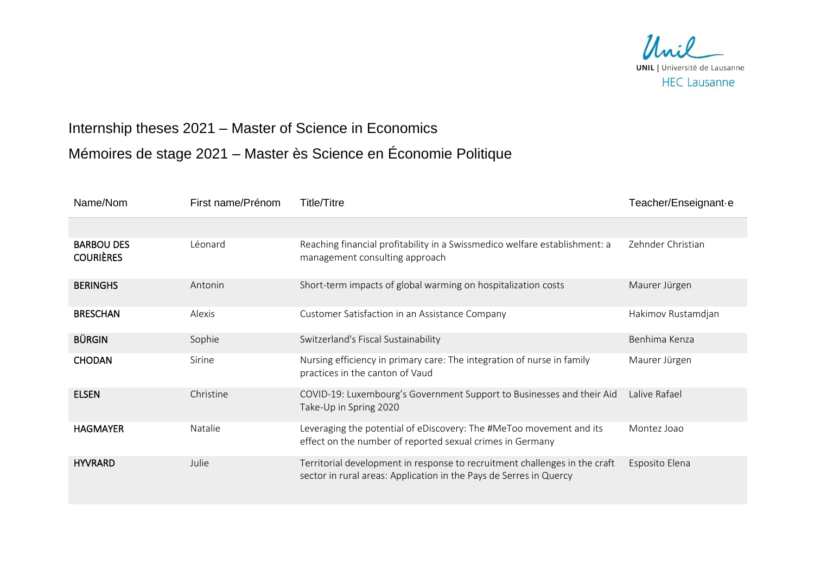

## Internship theses 2021 – Master of Science in Economics Mémoires de stage 2021 – Master ès Science en Économie Politique

| Name/Nom                              | First name/Prénom | <b>Title/Titre</b>                                                                                                                               | Teacher/Enseignant-e |
|---------------------------------------|-------------------|--------------------------------------------------------------------------------------------------------------------------------------------------|----------------------|
|                                       |                   |                                                                                                                                                  |                      |
| <b>BARBOU DES</b><br><b>COURIÈRES</b> | Léonard           | Reaching financial profitability in a Swissmedico welfare establishment: a<br>management consulting approach                                     | Zehnder Christian    |
| <b>BERINGHS</b>                       | Antonin           | Short-term impacts of global warming on hospitalization costs                                                                                    | Maurer Jürgen        |
| <b>BRESCHAN</b>                       | Alexis            | Customer Satisfaction in an Assistance Company                                                                                                   | Hakimov Rustamdjan   |
| <b>BÜRGIN</b>                         | Sophie            | Switzerland's Fiscal Sustainability                                                                                                              | Benhima Kenza        |
| <b>CHODAN</b>                         | Sirine            | Nursing efficiency in primary care: The integration of nurse in family<br>practices in the canton of Vaud                                        | Maurer Jürgen        |
| <b>ELSEN</b>                          | Christine         | COVID-19: Luxembourg's Government Support to Businesses and their Aid<br>Take-Up in Spring 2020                                                  | Lalive Rafael        |
| <b>HAGMAYER</b>                       | Natalie           | Leveraging the potential of eDiscovery: The #MeToo movement and its<br>effect on the number of reported sexual crimes in Germany                 | Montez Joao          |
| <b>HYVRARD</b>                        | Julie             | Territorial development in response to recruitment challenges in the craft<br>sector in rural areas: Application in the Pays de Serres in Quercy | Esposito Elena       |